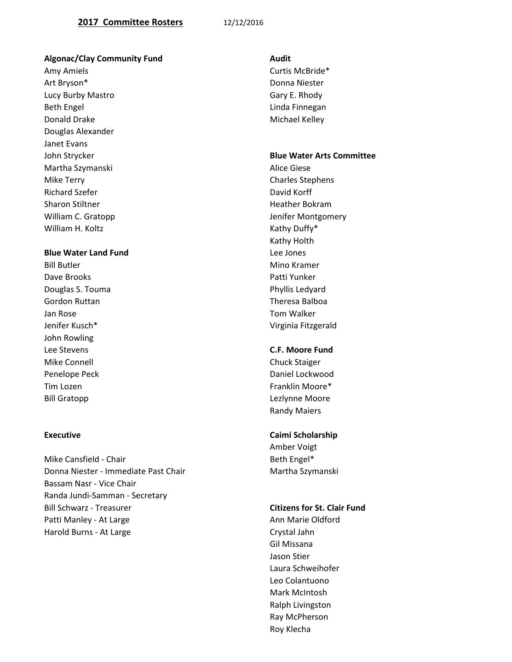## **2017 Committee Rosters** 12/12/2016

### **Algonac/Clay Community Fund Audit**

Amy Amiels **Amiels** Curtis McBride\* Art Bryson\* Donna Niester Lucy Burby Mastro **Gary E. Rhody** Beth Engel **Engel Engel Engel Engine Engine Engine Engine Engine Engine Engine Engine Engine Engine Engine Engine Engine Engine Engine Engine Engine Engine Engine Engine Engine Engine Engine Engine Engine Engine Engi** Donald Drake Michael Kelley Douglas Alexander Janet Evans Martha Szymanski **Alice Giese** Alice Giese Mike Terry **Charles Stephens** Richard Szefer **David Korff** Sharon Stiltner **Heather Bokram** Heather Bokram William H. Koltz **Kathy Duffy**\* Kathy Duffy<sup>\*</sup>

# **Blue Water Land Fund Lee Jones**

Bill Butler Mino Kramer Mino Kramer Mino Kramer Mino Kramer Mino Kramer Mino Kramer Mino Kramer Mino Kramer Mino Dave Brooks Patti Yunker Douglas S. Touma **Phyllis Ledyard** Gordon Ruttan Theresa Balboa Jan Rose Tom Walker John Rowling Lee Stevens **C.F. Moore Fund** Mike Connell **Chuck Staiger** Chuck Staiger Penelope Peck **Daniel Lockwood** Tim Lozen Franklin Moore \* Tim Lozen Franklin Moore \* Tim Lozen Franklin Moore \* Bill Gratopp **Lexisting Community** Contract Community Leadynne Moore

Mike Cansfield - Chair Beth Engel\* Donna Niester - Immediate Past Chair Martha Szymanski Bassam Nasr - Vice Chair Randa Jundi-Samman - Secretary Bill Schwarz - Treasurer **Citizens for St. Clair Fund** Patti Manley - At Large Ann Marie Oldford Harold Burns - At Large Crystal Jahn

### John Strycker **Blue Water Arts Committee**

William C. Gratopp **Villiam C. Gratopp Jenifer Montgomery** Kathy Holth Jenifer Kusch\* Virginia Fitzgerald

Randy Maiers

### **Executive Caimi Scholarship** Caimi Scholarship

Amber Voigt

Gil Missana Jason Stier Laura Schweihofer Leo Colantuono Mark McIntosh Ralph Livingston Ray McPherson Roy Klecha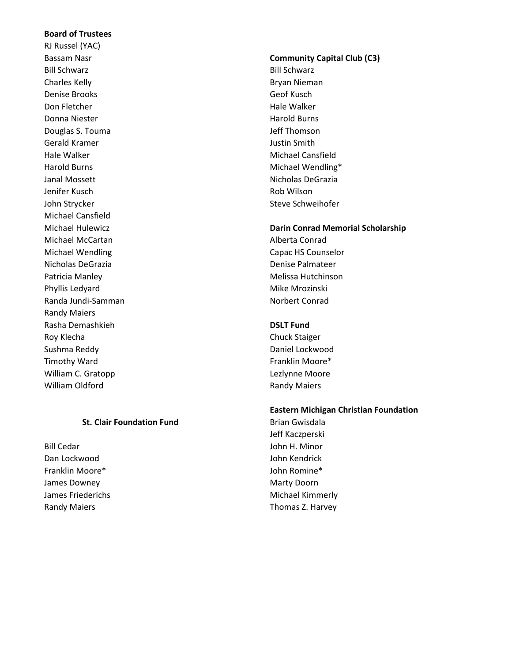# **Board of Trustees**

RJ Russel (YAC) Bill Schwarz **Bill Schwarz** Bill Schwarz **Bill Schwarz** Bill Schwarz Bill Schwarz Charles Kelly **Bryan Nieman** Denise Brooks Geof Kusch Don Fletcher National Assemblance Controller Hale Walker Donna Niester **Harold Burns** Niester Harold Burns Douglas S. Touma and the state of the state of the state of the state of the state of the state of the state o Gerald Kramer **Gerald Kramer Justin Smith** Hale Walker Michael Cansfield Harold Burns **Michael Wendling\*** Janal Mossett **Nicholas DeGrazia** Jenifer Kusch Rob Wilson John Strycker Schweihofer Steve Schweihofer Michael Cansfield Michael McCartan **Alberta** Conrad Michael Wendling **Capac HS Counselor** Capac HS Counselor Nicholas DeGrazia Denise Palmateer Patricia Manley **Melissa Hutchinson** Phyllis Ledyard Mike Mrozinski Randa Jundi-Samman Norbert Conrad Randy Maiers Rasha Demashkieh **DSLT Fund** Roy Klecha Chuck Staiger Sushma Reddy **Daniel Lockwood** Timothy Ward **Franklin Moore Franklin Moore** \* William C. Gratopp **Leaf** Controller Controller Controller Leaf Controller Lezlynne Moore William Oldford **Randy Maiers** Randy Maiers

### **St. Clair Foundation Fund** Brian Gwisdala

Bill Cedar **John H. Minor** Dan Lockwood John Kendrick Franklin Moore\* John Romine\* James Downey **Marty Doorn** Marty Doorn

# Bassam Nasr **Community Capital Club (C3)**

### Michael Hulewicz **Darin Conrad Memorial Scholarship**

## **Eastern Michigan Christian Foundation**

Jeff Kaczperski James Friederichs **Michael Kimmerly** Randy Maiers **Thomas Z. Harvey**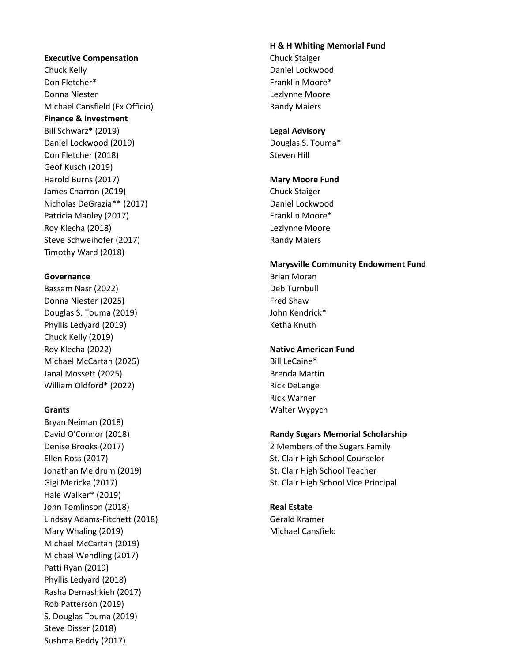### **Executive Compensation** Chuck Staiger

Chuck Kelly **Chuck Chuck Chuck Chuck Chuck** Daniel Lockwood Don Fletcher\* The Contraction of the Contraction of the Franklin Moore and The Franklin Moore and The Translation of the Translation of the Translation of the Translation of the Translation of the Translation of the Transl Donna Niester Lezlynne Moore Michael Cansfield (Ex Officio) Randy Maiers **Finance & Investment**

Bill Schwarz\* (2019) **Legal Advisory** Daniel Lockwood (2019) Douglas S. Touma\* Don Fletcher (2018) Steven Hill Geof Kusch (2019) Harold Burns (2017) **Mary Moore Fund** James Charron (2019) Chuck Staiger Nicholas DeGrazia\*\* (2017) Daniel Lockwood Patricia Manley (2017) The Contract Contract Contract Contract Contract Contract Contract Contract Contract Contract Contract Contract Contract Contract Contract Contract Contract Contract Contract Contract Contract Contra Roy Klecha (2018) **Roy Klecha (2018) Roy Klecha (2018)** Steve Schweihofer (2017) Steve Schweihofer (2017) Timothy Ward (2018)

Bassam Nasr (2022) Deb Turnbull Donna Niester (2025) **Fred Shaw** Douglas S. Touma (2019) Communication of the United States of John Kendrick\* Phyllis Ledyard (2019) Manus Controller Manus Retha Knuth Chuck Kelly (2019) Roy Klecha (2022) **Native American Fund** Michael McCartan (2025) Bill LeCaine\* Janal Mossett (2025) **Brenda Martin** William Oldford\* (2022) Rick DeLange

Bryan Neiman (2018) Ellen Ross (2017) St. Clair High School Counselor Jonathan Meldrum (2019) St. Clair High School Teacher Hale Walker\* (2019) John Tomlinson (2018) **Real Estate** Lindsay Adams-Fitchett (2018) Gerald Kramer Mary Whaling (2019) Michael Cansfield Michael McCartan (2019) Michael Wendling (2017) Patti Ryan (2019) Phyllis Ledyard (2018) Rasha Demashkieh (2017) Rob Patterson (2019) S. Douglas Touma (2019) Steve Disser (2018) Sushma Reddy (2017)

### **H & H Whiting Memorial Fund**

# **Marysville Community Endowment Fund**

**Governance Brian Moran** Brian Moran **Brian Moran** 

Rick Warner **Grants** Walter Wypych

## David O'Connor (2018) **Randy Sugars Memorial Scholarship**

Denise Brooks (2017) 2 Members of the Sugars Family Gigi Mericka (2017) St. Clair High School Vice Principal St. Clair High School Vice Principal